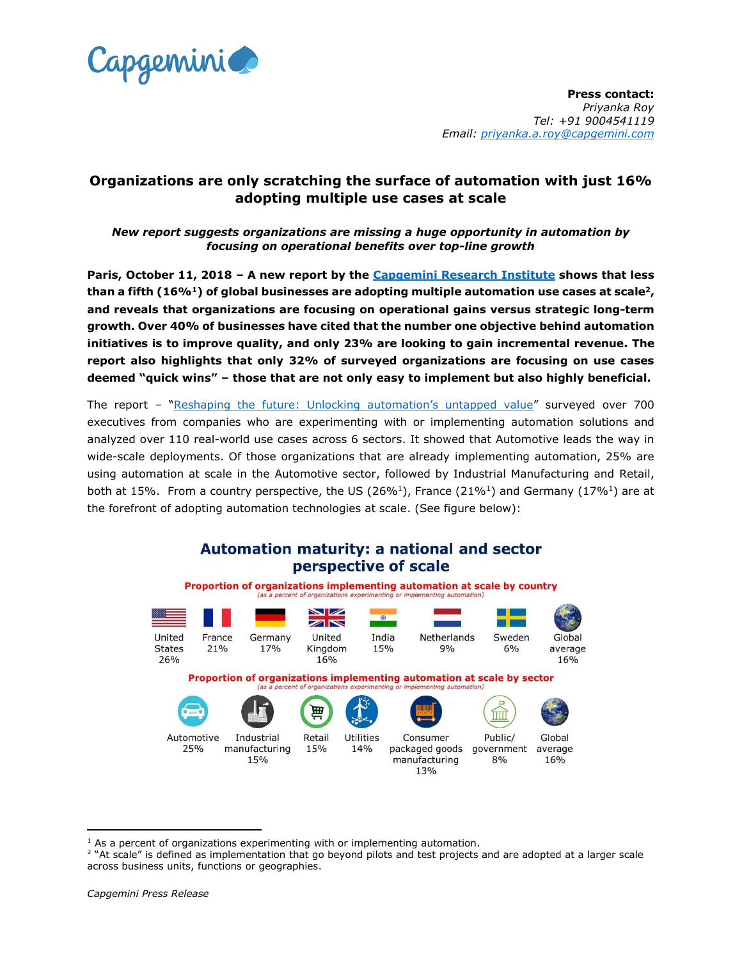

**Press contact:**  *Priyanka Roy Tel: +91 9004541119 Email: [priyanka.a.roy@capgemini.com](mailto:priyanka.a.roy@capgemini.com)*

# **Organizations are only scratching the surface of automation with just 16% adopting multiple use cases at scale**

# *New report suggests organizations are missing a huge opportunity in automation by focusing on operational benefits over top-line growth*

**Paris, October 11, 2018** *–* **A new report by the [Capgemini Research Institute](https://www.capgemini.com/research-institute/) shows that less than a fifth (16%<sup>1</sup>) of global businesses are adopting multiple automation use cases at scale<sup>2</sup>, and reveals that organizations are focusing on operational gains versus strategic long-term growth. Over 40% of businesses have cited that the number one objective behind automation initiatives is to improve quality, and only 23% are looking to gain incremental revenue. The report also highlights that only 32% of surveyed organizations are focusing on use cases deemed "quick wins" – those that are not only easy to implement but also highly beneficial.**

The report – ["Reshaping the future: Unlocking automation's untapped value"](https://www.capgemini.com/research/reshaping-the-future-unlocking-automations-untapped-value?utm_source=pr&utm_medium=referral&utm_content=automationdrive_none_none_pressrelease_none&utm_campaign=disruptdigital_automation_usecase) surveyed over 700 executives from companies who are experimenting with or implementing automation solutions and analyzed over 110 real-world use cases across 6 sectors. It showed that Automotive leads the way in wide-scale deployments. Of those organizations that are already implementing automation, 25% are using automation at scale in the Automotive sector, followed by Industrial Manufacturing and Retail, both at 15%. From a country perspective, the US (26%<sup>1</sup>), France (21%<sup>1</sup>) and Germany (17%<sup>1</sup>) are at the forefront of adopting automation technologies at scale. (See figure below):

#### Automation maturity: a national and sector perspective of scale Proportion of organizations implementing automation at scale by country (as a percent of organizations experimenting or implementing automation)  $\blacksquare$  $\blacksquare$ United France United Netherlands Germany India Sweden Global **States** 21% 17%  $9%$ Kingdom 15%  $6%$ average 26% 16% 16% Proportion of organizations implementing automation at scale by sector (as a percent of organiz 崗 ÍШ Automotive Industrial Retail Utilities Consumer Public/ Global manufacturing government 25% 15% 14% packaged goods average 15% manufacturing  $8%$ 16% 13%

 $\overline{\phantom{a}}$ 

 $<sup>1</sup>$  As a percent of organizations experimenting with or implementing automation.</sup>

<sup>2</sup> "At scale" is defined as implementation that go beyond pilots and test projects and are adopted at a larger scale across business units, functions or geographies.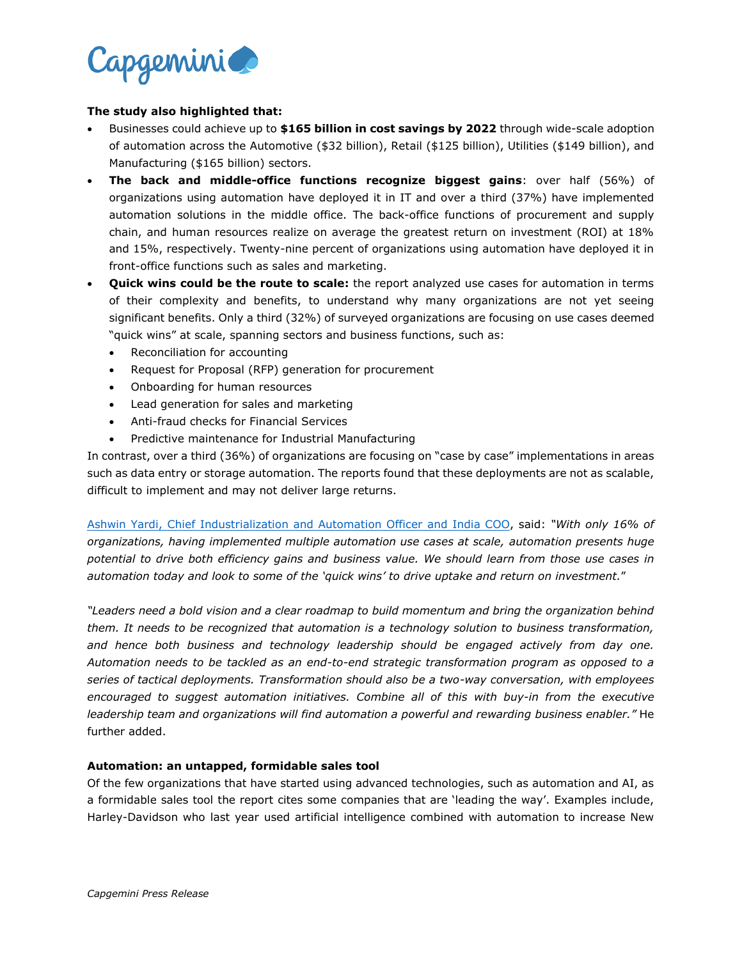

### **The study also highlighted that:**

- Businesses could achieve up to **\$165 billion in cost savings by 2022** through wide-scale adoption of automation across the Automotive (\$32 billion), Retail (\$125 billion), Utilities (\$149 billion), and Manufacturing (\$165 billion) sectors.
- **The back and middle-office functions recognize biggest gains**: over half (56%) of organizations using automation have deployed it in IT and over a third (37%) have implemented automation solutions in the middle office. The back-office functions of procurement and supply chain, and human resources realize on average the greatest return on investment (ROI) at 18% and 15%, respectively. Twenty-nine percent of organizations using automation have deployed it in front-office functions such as sales and marketing.
- **Quick wins could be the route to scale:** the report analyzed use cases for automation in terms of their complexity and benefits, to understand why many organizations are not yet seeing significant benefits. Only a third (32%) of surveyed organizations are focusing on use cases deemed "quick wins" at scale, spanning sectors and business functions, such as:
	- Reconciliation for accounting
	- Request for Proposal (RFP) generation for procurement
	- Onboarding for human resources
	- Lead generation for sales and marketing
	- Anti-fraud checks for Financial Services
	- Predictive maintenance for Industrial Manufacturing

In contrast, over a third (36%) of organizations are focusing on "case by case" implementations in areas such as data entry or storage automation. The reports found that these deployments are not as scalable, difficult to implement and may not deliver large returns.

Ashwin Yardi, Chief [Industrialization and Automation](https://www.capgemini.com/experts/automation-drive/ashwin-yardi/) Officer and India COO, said: *"With only 16% of organizations, having implemented multiple automation use cases at scale, automation presents huge potential to drive both efficiency gains and business value. We should learn from those use cases in automation today and look to some of the 'quick wins' to drive uptake and return on investment.*"

*"Leaders need a bold vision and a clear roadmap to build momentum and bring the organization behind them. It needs to be recognized that automation is a technology solution to business transformation, and hence both business and technology leadership should be engaged actively from day one. Automation needs to be tackled as an end-to-end strategic transformation program as opposed to a series of tactical deployments. Transformation should also be a two-way conversation, with employees encouraged to suggest automation initiatives. Combine all of this with buy-in from the executive leadership team and organizations will find automation a powerful and rewarding business enabler."* He further added.

### **Automation: an untapped, formidable sales tool**

Of the few organizations that have started using advanced technologies, such as automation and AI, as a formidable sales tool the report cites some companies that are 'leading the way'. Examples include, Harley-Davidson who last year used artificial intelligence combined with automation to increase New